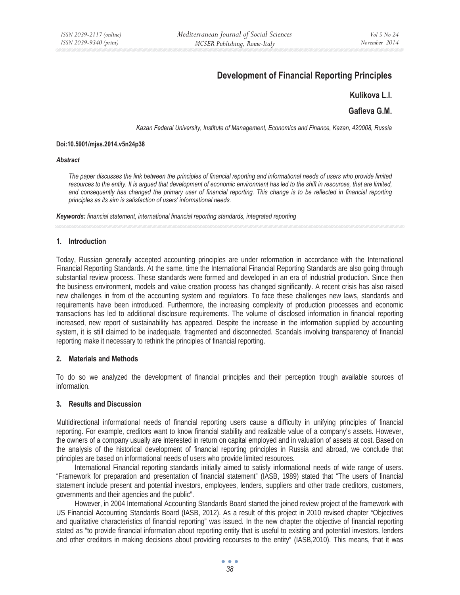# **Development of Financial Reporting Principles**

## **Kulikova L.I.**

## **Gafieva G.M.**

*Kazan Federal University, Institute of Management, Economics and Finance, Kazan, 420008, Russia* 

#### **Doi:10.5901/mjss.2014.v5n24p38**

#### *Abstract*

*The paper discusses the link between the principles of financial reporting and informational needs of users who provide limited* resources to the entity. It is argued that development of economic environment has led to the shift in resources, that are limited, *and consequently has changed the primary user of financial reporting. This change is to be reflected in financial reporting principles as its aim is satisfaction of users' informational needs.* 

*Keywords: financial statement, international financial reporting standards, integrated reporting*

## **1. Introduction**

Today, Russian generally accepted accounting principles are under reformation in accordance with the International Financial Reporting Standards. At the same, time the International Financial Reporting Standards are also going through substantial review process. These standards were formed and developed in an era of industrial production. Since then the business environment, models and value creation process has changed significantly. A recent crisis has also raised new challenges in from of the accounting system and regulators. To face these challenges new laws, standards and requirements have been introduced. Furthermore, the increasing complexity of production processes and economic transactions has led to additional disclosure requirements. The volume of disclosed information in financial reporting increased, new report of sustainability has appeared. Despite the increase in the information supplied by accounting system, it is still claimed to be inadequate, fragmented and disconnected. Scandals involving transparency of financial reporting make it necessary to rethink the principles of financial reporting.

### **2. Materials and Methods**

To do so we analyzed the development of financial principles and their perception trough available sources of information.

### **3. Results and Discussion**

Multidirectional informational needs of financial reporting users cause a difficulty in unifying principles of financial reporting. For example, creditors want to know financial stability and realizable value of a company's assets. However, the owners of a company usually are interested in return on capital employed and in valuation of assets at cost. Based on the analysis of the historical development of financial reporting principles in Russia and abroad, we conclude that principles are based on informational needs of users who provide limited resources.

International Financial reporting standards initially aimed to satisfy informational needs of wide range of users. "Framework for preparation and presentation of financial statement" (IASB, 1989) stated that "The users of financial statement include present and potential investors, employees, lenders, suppliers and other trade creditors, customers, governments and their agencies and the public".

However, in 2004 International Accounting Standards Board started the joined review project of the framework with US Financial Accounting Standards Board (IASB, 2012). As a result of this project in 2010 revised chapter "Objectives and qualitative characteristics of financial reporting" was issued. In the new chapter the objective of financial reporting stated as "to provide financial information about reporting entity that is useful to existing and potential investors, lenders and other creditors in making decisions about providing recourses to the entity" (IASB,2010). This means, that it was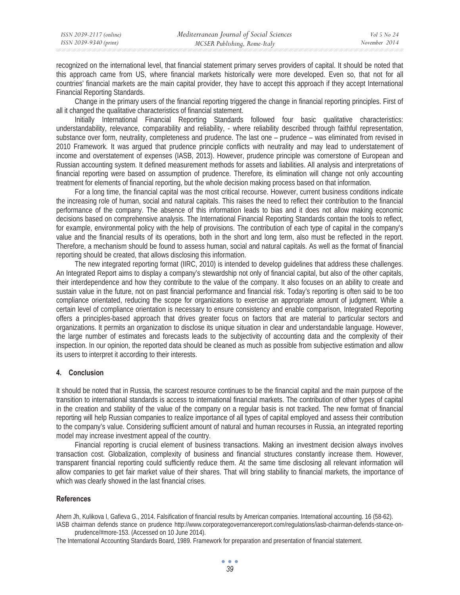recognized on the international level, that financial statement primary serves providers of capital. It should be noted that this approach came from US, where financial markets historically were more developed. Even so, that not for all countries' financial markets are the main capital provider, they have to accept this approach if they accept International Financial Reporting Standards.

Change in the primary users of the financial reporting triggered the change in financial reporting principles. First of all it changed the qualitative characteristics of financial statement.

Initially International Financial Reporting Standards followed four basic qualitative characteristics: understandability, relevance, comparability and reliability, - where reliability described through faithful representation, substance over form, neutrality, completeness and prudence. The last one – prudence – was eliminated from revised in 2010 Framework. It was argued that prudence principle conflicts with neutrality and may lead to understatement of income and overstatement of expenses (IASB, 2013). However, prudence principle was cornerstone of European and Russian accounting system. It defined measurement methods for assets and liabilities. All analysis and interpretations of financial reporting were based on assumption of prudence. Therefore, its elimination will change not only accounting treatment for elements of financial reporting, but the whole decision making process based on that information.

For a long time, the financial capital was the most critical recourse. However, current business conditions indicate the increasing role of human, social and natural capitals. This raises the need to reflect their contribution to the financial performance of the company. The absence of this information leads to bias and it does not allow making economic decisions based on comprehensive analysis. The International Financial Reporting Standards contain the tools to reflect, for example, environmental policy with the help of provisions. The contribution of each type of capital in the company's value and the financial results of its operations, both in the short and long term, also must be reflected in the report. Therefore, a mechanism should be found to assess human, social and natural capitals. As well as the format of financial reporting should be created, that allows disclosing this information.

The new integrated reporting format (IIRC, 2010) is intended to develop guidelines that address these challenges. An Integrated Report aims to display a company's stewardship not only of financial capital, but also of the other capitals, their interdependence and how they contribute to the value of the company. It also focuses on an ability to create and sustain value in the future, not on past financial performance and financial risk. Today's reporting is often said to be too compliance orientated, reducing the scope for organizations to exercise an appropriate amount of judgment. While a certain level of compliance orientation is necessary to ensure consistency and enable comparison, Integrated Reporting offers a principles-based approach that drives greater focus on factors that are material to particular sectors and organizations. It permits an organization to disclose its unique situation in clear and understandable language. However, the large number of estimates and forecasts leads to the subjectivity of accounting data and the complexity of their inspection. In our opinion, the reported data should be cleaned as much as possible from subjective estimation and allow its users to interpret it according to their interests.

### **4. Conclusion**

It should be noted that in Russia, the scarcest resource continues to be the financial capital and the main purpose of the transition to international standards is access to international financial markets. The contribution of other types of capital in the creation and stability of the value of the company on a regular basis is not tracked. The new format of financial reporting will help Russian companies to realize importance of all types of capital employed and assess their contribution to the company's value. Considering sufficient amount of natural and human recourses in Russia, an integrated reporting model may increase investment appeal of the country.

Financial reporting is crucial element of business transactions. Making an investment decision always involves transaction cost. Globalization, complexity of business and financial structures constantly increase them. However, transparent financial reporting could sufficiently reduce them. At the same time disclosing all relevant information will allow companies to get fair market value of their shares. That will bring stability to financial markets, the importance of which was clearly showed in the last financial crises.

#### **References**

Ahern Jh, Kulikova I, Gafieva G., 2014. Falsification of financial results by American companies. International accounting. 16 (58-62). IASB chairman defends stance on prudence http://www.corporategovernancereport.com/regulations/iasb-chairman-defends-stance-on-

prudence/#more-153. (Accessed on 10 June 2014).

The International Accounting Standards Board, 1989. Framework for preparation and presentation of financial statement.